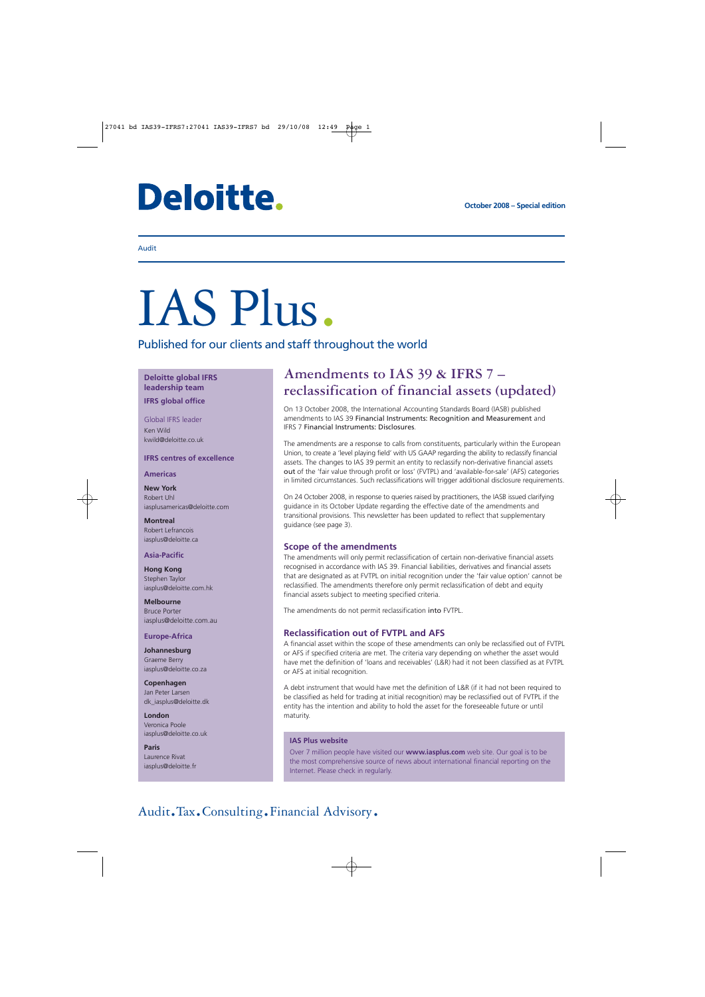# **Deloitte.**

#### Audit

# IAS Plus.

Published for our clients and staff throughout the world

#### **Deloitte global IFRS leadership team IFRS global office**

Global IFRS leader Ken Wild kwild@deloitte.co.uk

#### **IFRS centres of excellence**

#### **Americas**

**New York** Robert Uhl iasplusamericas@deloitte.com

**Montreal** Robert Lefrancois iasplus@deloitte.ca

#### **Asia-Pacific**

**Hong Kong** Stephen Taylor iasplus@deloitte.com.hk

**Melbourne** Bruce Porter iasplus@deloitte.com.au

#### **Europe-Africa**

**Johannesburg** Graeme Berry iasplus@deloitte.co.za

**Copenhagen** Jan Peter Larsen dk\_iasplus@deloitte.dk

**London** Veronica Poole iasplus@deloitte.co.uk

**Paris** Laurence Rivat iasplus@deloitte.fr

### **Amendments to IAS 39 & IFRS 7 – reclassification of financial assets (updated)**

On 13 October 2008, the International Accounting Standards Board (IASB) published amendments to IAS 39 Financial Instruments: Recognition and Measurement and IFRS 7 Financial Instruments: Disclosures.

The amendments are a response to calls from constituents, particularly within the European Union, to create a 'level playing field' with US GAAP regarding the ability to reclassify financial assets. The changes to IAS 39 permit an entity to reclassify non-derivative financial assets out of the 'fair value through profit or loss' (FVTPL) and 'available-for-sale' (AFS) categories in limited circumstances. Such reclassifications will trigger additional disclosure requirements.

On 24 October 2008, in response to queries raised by practitioners, the IASB issued clarifying guidance in its October Update regarding the effective date of the amendments and transitional provisions. This newsletter has been updated to reflect that supplementary guidance (see page 3).

#### **Scope of the amendments**

The amendments will only permit reclassification of certain non-derivative financial assets recognised in accordance with IAS 39. Financial liabilities, derivatives and financial assets that are designated as at FVTPL on initial recognition under the 'fair value option' cannot be reclassified. The amendments therefore only permit reclassification of debt and equity financial assets subject to meeting specified criteria.

The amendments do not permit reclassification into FVTPL.

#### **Reclassification out of FVTPL and AFS**

A financial asset within the scope of these amendments can only be reclassified out of FVTPL or AFS if specified criteria are met. The criteria vary depending on whether the asset would have met the definition of 'loans and receivables' (L&R) had it not been classified as at FVTPL or AFS at initial recognition.

A debt instrument that would have met the definition of L&R (if it had not been required to be classified as held for trading at initial recognition) may be reclassified out of FVTPL if the entity has the intention and ability to hold the asset for the foreseeable future or until maturity.

#### **IAS Plus website**

Over 7 million people have visited our **www.iasplus.com** web site. Our goal is to be the most comprehensive source of news about international financial reporting on the Internet. Please check in regularly.

## Audit.Tax.Consulting.Financial Advisory.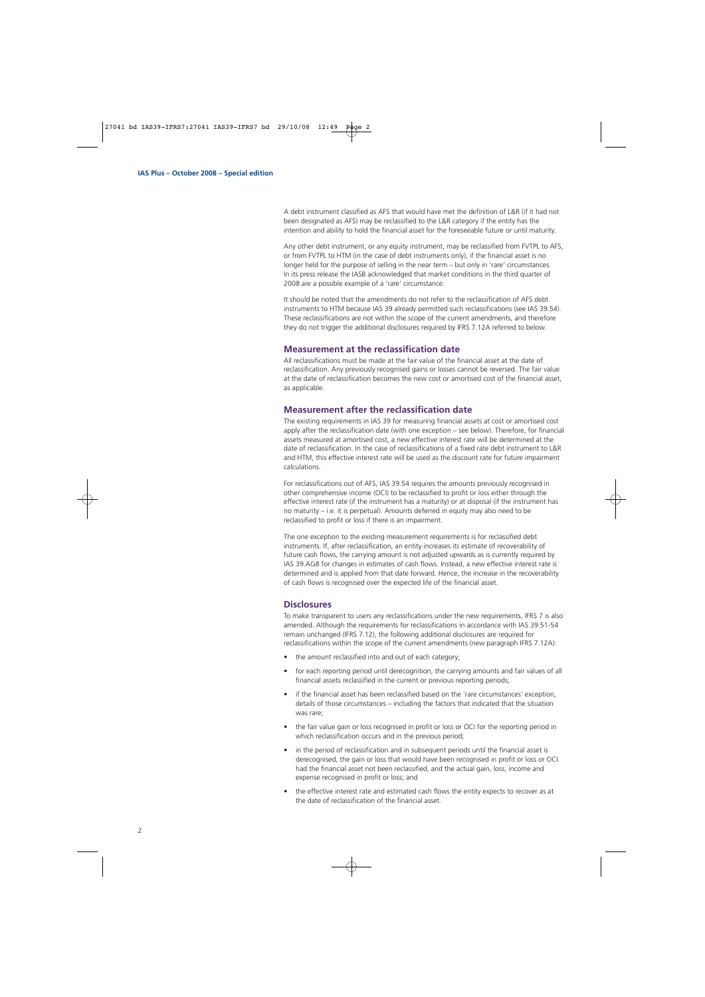A debt instrument classified as AFS that would have met the definition of L&R (if it had not been designated as AFS) may be reclassified to the L&R category if the entity has the intention and ability to hold the financial asset for the foreseeable future or until maturity.

Any other debt instrument, or any equity instrument, may be reclassified from FVTPL to AFS, or from FVTPL to HTM (in the case of debt instruments only), if the financial asset is no longer held for the purpose of selling in the near term – but only in 'rare' circumstances. In its press release the IASB acknowledged that market conditions in the third quarter of 2008 are a possible example of a 'rare' circumstance.

It should be noted that the amendments do not refer to the reclassification of AFS debt instruments to HTM because IAS 39 already permitted such reclassifications (see IAS 39.54). These reclassifications are not within the scope of the current amendments, and therefore they do not trigger the additional disclosures required by IFRS 7.12A referred to below.

#### **Measurement at the reclassification date**

All reclassifications must be made at the fair value of the financial asset at the date of reclassification. Any previously recognised gains or losses cannot be reversed. The fair value at the date of reclassification becomes the new cost or amortised cost of the financial asset, as applicable.

#### **Measurement after the reclassification date**

The existing requirements in IAS 39 for measuring financial assets at cost or amortised cost apply after the reclassification date (with one exception – see below). Therefore, for financial assets measured at amortised cost, a new effective interest rate will be determined at the date of reclassification. In the case of reclassifications of a fixed rate debt instrument to L&R and HTM, this effective interest rate will be used as the discount rate for future impairment calculations.

For reclassifications out of AFS, IAS 39.54 requires the amounts previously recognised in other comprehensive income (OCI) to be reclassified to profit or loss either through the effective interest rate (if the instrument has a maturity) or at disposal (if the instrument has no maturity – i.e. it is perpetual). Amounts deferred in equity may also need to be reclassified to profit or loss if there is an impairment.

The one exception to the existing measurement requirements is for reclassified debt instruments. If, after reclassification, an entity increases its estimate of recoverability of future cash flows, the carrying amount is not adjusted upwards as is currently required by IAS 39.AG8 for changes in estimates of cash flows. Instead, a new effective interest rate is determined and is applied from that date forward. Hence, the increase in the recoverability of cash flows is recognised over the expected life of the financial asset.

#### **Disclosures**

To make transparent to users any reclassifications under the new requirements, IFRS 7 is also amended. Although the requirements for reclassifications in accordance with IAS 39.51-54 remain unchanged (IFRS 7.12), the following additional disclosures are required for reclassifications within the scope of the current amendments (new paragraph IFRS 7.12A):

- the amount reclassified into and out of each category;
- for each reporting period until derecognition, the carrying amounts and fair values of all financial assets reclassified in the current or previous reporting periods;
- if the financial asset has been reclassified based on the 'rare circumstances' exception, details of those circumstances – including the factors that indicated that the situation was rare;
- the fair value gain or loss recognised in profit or loss or OCI for the reporting period in which reclassification occurs and in the previous period;
- in the period of reclassification and in subsequent periods until the financial asset is derecognised, the gain or loss that would have been recognised in profit or loss or OCI had the financial asset not been reclassified, and the actual gain, loss, income and expense recognised in profit or loss; and
- the effective interest rate and estimated cash flows the entity expects to recover as at the date of reclassification of the financial asset.